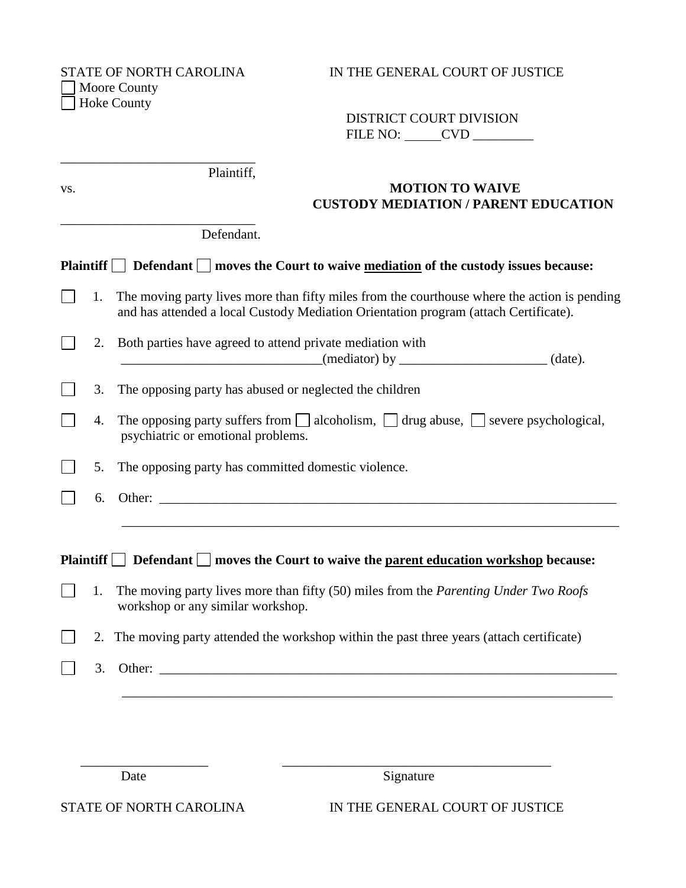\_\_\_\_\_\_\_\_\_\_\_\_\_\_\_\_\_\_\_\_\_\_\_\_\_\_\_\_\_

\_\_\_\_\_\_\_\_\_\_\_\_\_\_\_\_\_\_\_\_\_\_\_\_\_\_\_\_\_

Moore County Hoke County

## STATE OF NORTH CAROLINA IN THE GENERAL COURT OF JUSTICE

 DISTRICT COURT DIVISION FILE NO: CVD \_\_\_\_\_\_\_\_\_

Plaintiff,

## vs. **MOTION TO WAIVE CUSTODY MEDIATION / PARENT EDUCATION**

Defendant.

| Plaintiff $\Box$ Defendant $\Box$ moves the Court to waive <u>mediation</u> of the custody issues because: |    |                                                                                                                                                                                         |  |  |
|------------------------------------------------------------------------------------------------------------|----|-----------------------------------------------------------------------------------------------------------------------------------------------------------------------------------------|--|--|
|                                                                                                            |    | 1. The moving party lives more than fifty miles from the courthouse where the action is pending<br>and has attended a local Custody Mediation Orientation program (attach Certificate). |  |  |
|                                                                                                            |    | 2. Both parties have agreed to attend private mediation with<br>$($ mediator) by __________________________________(date).                                                              |  |  |
|                                                                                                            |    | 3. The opposing party has abused or neglected the children                                                                                                                              |  |  |
|                                                                                                            | 4. | The opposing party suffers from $\Box$ alcoholism, $\Box$ drug abuse, $\Box$ severe psychological,<br>psychiatric or emotional problems.                                                |  |  |
|                                                                                                            | 5. | The opposing party has committed domestic violence.                                                                                                                                     |  |  |
|                                                                                                            |    | $6.$ Other: $\qquad \qquad$                                                                                                                                                             |  |  |
|                                                                                                            |    | Plaintiff $\Box$ Defendant $\Box$ moves the Court to waive the parent education workshop because:                                                                                       |  |  |
|                                                                                                            | 1. | The moving party lives more than fifty (50) miles from the <i>Parenting Under Two Roofs</i><br>workshop or any similar workshop.                                                        |  |  |

 2. The moving party attended the workshop within the past three years (attach certificate)  $\Box$ 

\_\_\_\_\_\_\_\_\_\_\_\_\_\_\_\_\_\_\_ \_\_\_\_\_\_\_\_\_\_\_\_\_\_\_\_\_\_\_\_\_\_\_\_\_\_\_\_\_\_\_\_\_\_\_\_\_\_\_\_

\_\_\_\_\_\_\_\_\_\_\_\_\_\_\_\_\_\_\_\_\_\_\_\_\_\_\_\_\_\_\_\_\_\_\_\_\_\_\_\_\_\_\_\_\_\_\_\_\_\_\_\_\_\_\_\_\_\_\_\_\_\_\_\_\_\_\_\_\_\_\_\_\_

3. Other: \_\_\_\_\_\_\_\_\_\_\_\_\_\_\_\_\_\_\_\_\_\_\_\_\_\_\_\_\_\_\_\_\_\_\_\_\_\_\_\_\_\_\_\_\_\_\_\_\_\_\_\_\_\_\_\_\_\_\_\_\_\_\_\_\_\_\_\_  $\Box$ 

Date Signature

STATE OF NORTH CAROLINA IN THE GENERAL COURT OF JUSTICE